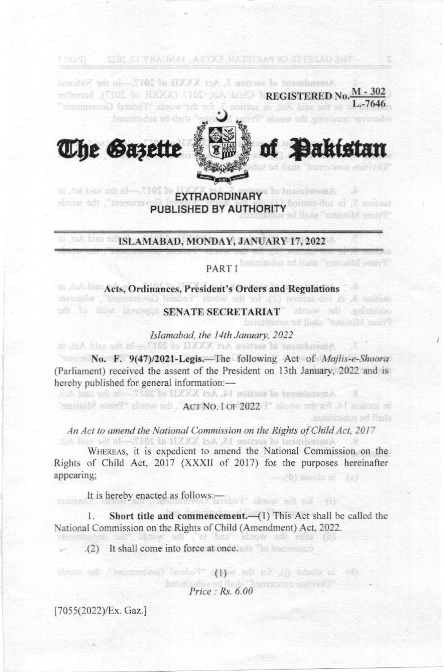

of **Dakistan** 

hotulibadus od lisda

**The Sazette** 



SEDE CI YANGKAL AKIYA MATKIXAS RO ST (EEAD SHT

# **ISLAMABAD, MONDAY, JANUARY 17, 2022**

8, in sub-action (2), for the words "Federal Government", wherever

# PART I boundary " shall be substituted I TART

# Acts, Ordinances, President's Orders and Regulations

## adi to this lavoring SENATE SECRETARIAT absolve and animalous Prime Minister" shall be substituted

#### Islamabad, the 14th January, 2022 Amendment of section AC XXXI to III -- In the said Act, in

No. F. 9(47)/2021-Legis.-The following Act of Majlis-e-Shoora (Parliament) received the assent of the President on 13th January, 2022 and is hereby published for general information:-

## retainible start" above sell. ACTNO. For 2022 T" above sell toll. All moltons and

Amendment of section 14, AG XXXI to IXXI -- in the said Act.

#### An Act to amend the National Commission on the Rights of Child Act, 2017

Amendment of section 15, Act XXXII of 2017.-In the said Act WHEREAS, it is expedient to amend the National Commission on the Rights of Child Act, 2017 (XXXII of 2017) for the purposes hereinafter appearing: thi surato ni

It is hereby enacted as follows:-

Short title and commencement.-(1) This Act shall be called the National Commission on the Rights of Child (Amendment) Act, 2022.

 $61''$  sonow off not  $(6)$ 

 $bms''$   $b from 5th$   $s$   $t$   $t$   $t$   $t$   $t$ 

(2) It shall come into force at once. The homeoned

(b) in clause (j), for the W(t) "Federal Government", the words  $Price: Rs. 6.00$ 

[7055(2022)/Ex. Gaz.]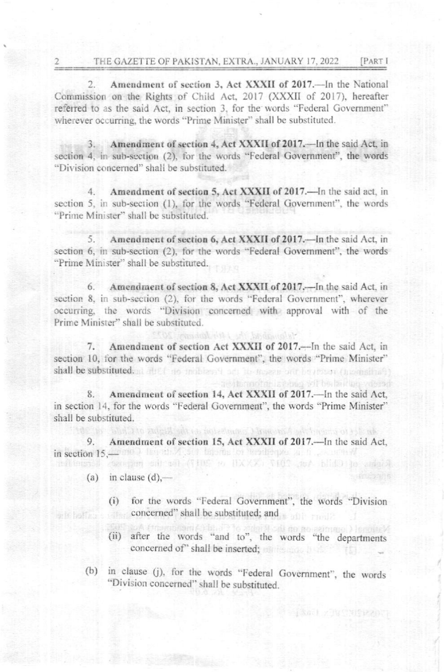Amendment of section 3, Act XXXII of 2017.—In the National  $2.$ Commission on the Rights of Child Act, 2017 (XXXII of 2017), hereafter referred to as the said Act, in section 3, for the words "Federal Government" wherever occurring, the words "Prime Minister" shall be substituted.

3. Amendment of section 4, Act XXXII of 2017. - In the said Act, in section 4, in sub-section (2), for the words "Federal Government", the words "Division concerned" shall be substituted.

Amendment of section 5, Act XXXII of 2017.—In the said act, in  $4.$ section 5, in sub-section (1), for the words "Federal Government", the words "Prime Minister" shall be substituted.

Amendment of section 6, Act XXXII of 2017. - In the said Act, in 5. section 6, in sub-section (2), for the words "Federal Government", the words "Prime Minister" shall be substituted.

6. Amendment of section 8, Act XXXII of 2017. In the said Act, in section 8, in sub-section (2), for the words "Federal Government", wherever occurring, the words "Division concerned with approval with of the Prime Minister" shall be substituted.

Amendment of section Act XXXII of 2017.-In the said Act, in 7. section 10, for the words "Federal Government", the words "Prime Minister" shall be substituted, at about no multigent advantagement for property (inconstitute)

the impadable into add brown

Amendment of section 14, Act XXXII of 2017. - In the said Act, in section 14, for the words "Federal Government", the words "Prime Minister" shall be substituted.

9. Amendment of section 15, Act XXXII of 2017.—In the said Act, in section 15,-000 lan about 500 lapons or headerple, and governed refinents compan out on (THE to HXXX) THIS art blidO to admit

- (a) in clause  $(d)$ .
	- for the words "Federal Government", the words "Division  $(i)$ concerned" shall be substituted; and

shall to an all plans because the settlements of the state

to mother is come will be been weeper

Hasl / WYNIRZOTE

- (ii) after the words "and to", the words "the departments concerned of" shall be inserted; and a state of the state of the state of the state of the state of the state of the state of the state of the state of the state of the state of the state of the state of the state of the s
- (b) in clause (j), for the words "Federal Government", the words "Division concerned" shall be substituted.